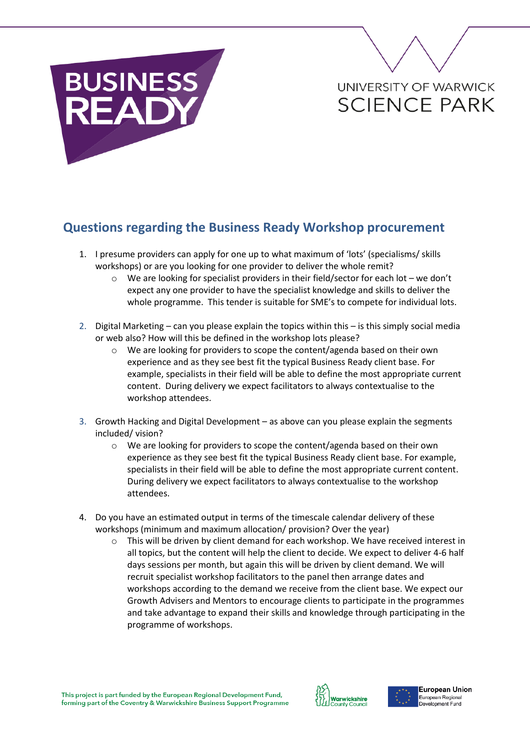## **BUSINESS** FΔ

## UNIVERSITY OF WARWICK **SCIENCE PARK**

## **Questions regarding the Business Ready Workshop procurement**

- 1. I presume providers can apply for one up to what maximum of 'lots' (specialisms/ skills workshops) or are you looking for one provider to deliver the whole remit?
	- $\circ$  We are looking for specialist providers in their field/sector for each lot we don't expect any one provider to have the specialist knowledge and skills to deliver the whole programme. This tender is suitable for SME's to compete for individual lots.
- 2. Digital Marketing can you please explain the topics within this is this simply social media or web also? How will this be defined in the workshop lots please?
	- o We are looking for providers to scope the content/agenda based on their own experience and as they see best fit the typical Business Ready client base. For example, specialists in their field will be able to define the most appropriate current content. During delivery we expect facilitators to always contextualise to the workshop attendees.
- 3. Growth Hacking and Digital Development as above can you please explain the segments included/ vision?
	- o We are looking for providers to scope the content/agenda based on their own experience as they see best fit the typical Business Ready client base. For example, specialists in their field will be able to define the most appropriate current content. During delivery we expect facilitators to always contextualise to the workshop attendees.
- 4. Do you have an estimated output in terms of the timescale calendar delivery of these workshops (minimum and maximum allocation/ provision? Over the year)
	- $\circ$  This will be driven by client demand for each workshop. We have received interest in all topics, but the content will help the client to decide. We expect to deliver 4-6 half days sessions per month, but again this will be driven by client demand. We will recruit specialist workshop facilitators to the panel then arrange dates and workshops according to the demand we receive from the client base. We expect our Growth Advisers and Mentors to encourage clients to participate in the programmes and take advantage to expand their skills and knowledge through participating in the programme of workshops.



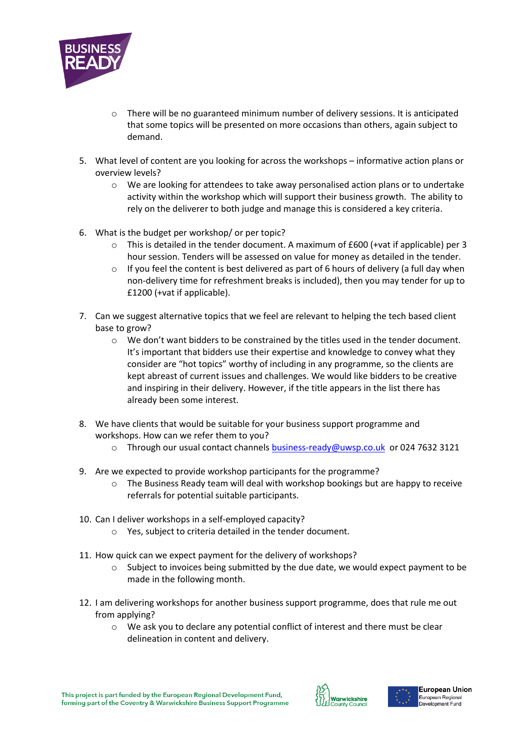

- $\circ$  There will be no guaranteed minimum number of delivery sessions. It is anticipated that some topics will be presented on more occasions than others, again subject to demand.
- 5. What level of content are you looking for across the workshops informative action plans or overview levels?
	- $\circ$  We are looking for attendees to take away personalised action plans or to undertake activity within the workshop which will support their business growth. The ability to rely on the deliverer to both judge and manage this is considered a key criteria.
- 6. What is the budget per workshop/ or per topic?
	- $\circ$  This is detailed in the tender document. A maximum of £600 (+vat if applicable) per 3 hour session. Tenders will be assessed on value for money as detailed in the tender.
	- $\circ$  If you feel the content is best delivered as part of 6 hours of delivery (a full day when non-delivery time for refreshment breaks is included), then you may tender for up to £1200 (+vat if applicable).
- 7. Can we suggest alternative topics that we feel are relevant to helping the tech based client base to grow?
	- $\circ$  We don't want bidders to be constrained by the titles used in the tender document. It's important that bidders use their expertise and knowledge to convey what they consider are "hot topics" worthy of including in any programme, so the clients are kept abreast of current issues and challenges. We would like bidders to be creative and inspiring in their delivery. However, if the title appears in the list there has already been some interest.
- 8. We have clients that would be suitable for your business support programme and workshops. How can we refer them to you?
	- o Through our usual contact channels [business-ready@uwsp.co.uk](mailto:business-ready@uwsp.co.uk) or 024 7632 3121
- 9. Are we expected to provide workshop participants for the programme?
	- $\circ$  The Business Ready team will deal with workshop bookings but are happy to receive referrals for potential suitable participants.
- 10. Can I deliver workshops in a self-employed capacity?
	- o Yes, subject to criteria detailed in the tender document.
- 11. How quick can we expect payment for the delivery of workshops?
	- $\circ$  Subject to invoices being submitted by the due date, we would expect payment to be made in the following month.
- 12. I am delivering workshops for another business support programme, does that rule me out from applying?
	- o We ask you to declare any potential conflict of interest and there must be clear delineation in content and delivery.



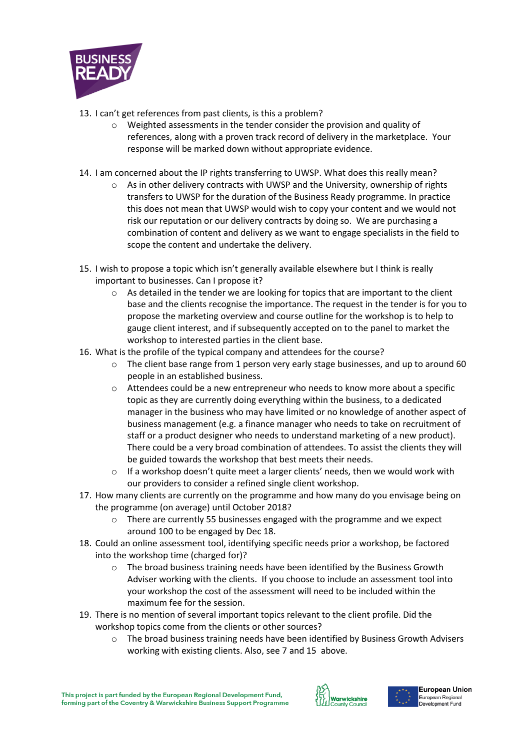

- 13. I can't get references from past clients, is this a problem?
	- o Weighted assessments in the tender consider the provision and quality of references, along with a proven track record of delivery in the marketplace. Your response will be marked down without appropriate evidence.
- 14. I am concerned about the IP rights transferring to UWSP. What does this really mean?
	- $\circ$  As in other delivery contracts with UWSP and the University, ownership of rights transfers to UWSP for the duration of the Business Ready programme. In practice this does not mean that UWSP would wish to copy your content and we would not risk our reputation or our delivery contracts by doing so. We are purchasing a combination of content and delivery as we want to engage specialists in the field to scope the content and undertake the delivery.
- 15. I wish to propose a topic which isn't generally available elsewhere but I think is really important to businesses. Can I propose it?
	- o As detailed in the tender we are looking for topics that are important to the client base and the clients recognise the importance. The request in the tender is for you to propose the marketing overview and course outline for the workshop is to help to gauge client interest, and if subsequently accepted on to the panel to market the workshop to interested parties in the client base.
- 16. What is the profile of the typical company and attendees for the course?
	- $\circ$  The client base range from 1 person very early stage businesses, and up to around 60 people in an established business.
	- $\circ$  Attendees could be a new entrepreneur who needs to know more about a specific topic as they are currently doing everything within the business, to a dedicated manager in the business who may have limited or no knowledge of another aspect of business management (e.g. a finance manager who needs to take on recruitment of staff or a product designer who needs to understand marketing of a new product). There could be a very broad combination of attendees. To assist the clients they will be guided towards the workshop that best meets their needs.
	- $\circ$  If a workshop doesn't quite meet a larger clients' needs, then we would work with our providers to consider a refined single client workshop.
- 17. How many clients are currently on the programme and how many do you envisage being on the programme (on average) until October 2018?
	- o There are currently 55 businesses engaged with the programme and we expect around 100 to be engaged by Dec 18.
- 18. Could an online assessment tool, identifying specific needs prior a workshop, be factored into the workshop time (charged for)?
	- $\circ$  The broad business training needs have been identified by the Business Growth Adviser working with the clients. If you choose to include an assessment tool into your workshop the cost of the assessment will need to be included within the maximum fee for the session.
- 19. There is no mention of several important topics relevant to the client profile. Did the workshop topics come from the clients or other sources?
	- $\circ$  The broad business training needs have been identified by Business Growth Advisers working with existing clients. Also, see 7 and 15 above.